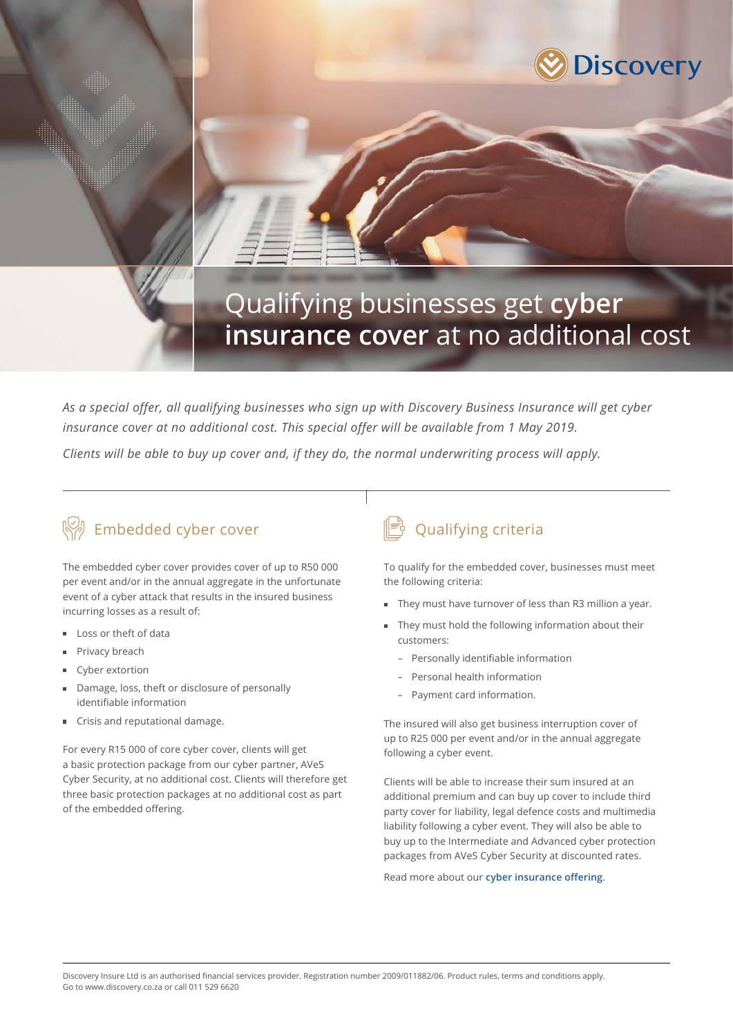

# Qualifying businesses get **cyber insurance cover** at no additional cost

*As a special offer, all qualifying businesses who sign up with Discovery Business Insurance will get cyber*  insurance cover at no additional cost. This special offer will be available from 1 May 2019.

*Clients will be able to buy up cover and, if they do, the normal underwriting process will apply.*

## Embedded cyber cover

The embedded cyber cover provides cover of up to R50 000 per event and/or in the annual aggregate in the unfortunate event of a cyber attack that results in the insured business incurring losses as a result of:

- Loss or theft of data
- Privacy breach
- Cyber extortion
- Damage, loss, theft or disclosure of personally identifiable information
- Crisis and reputational damage.

For every R15 000 of core cyber cover, clients will get a basic protection package from our cyber partner, AVeS Cyber Security, at no additional cost. Clients will therefore get three basic protection packages at no additional cost as part of the embedded offering.

### Qualifying criteria

To qualify for the embedded cover, businesses must meet the following criteria:

- They must have turnover of less than R3 million a year.
- They must hold the following information about their customers:
	- Personally identifiable information
	- Personal health information
	- Payment card information.

The insured will also get business interruption cover of up to R25 000 per event and/or in the annual aggregate following a cyber event.

Clients will be able to increase their sum insured at an additional premium and can buy up cover to include third party cover for liability, legal defence costs and multimedia liability following a cyber event. They will also be able to buy up to the Intermediate and Advanced cyber protection packages from AVeS Cyber Security at discounted rates.

Read more about our **[cyber insurance offering](https://www.discovery.co.za/assets/discoverycoza/business-insurance/cyber-cover.pdf)**.